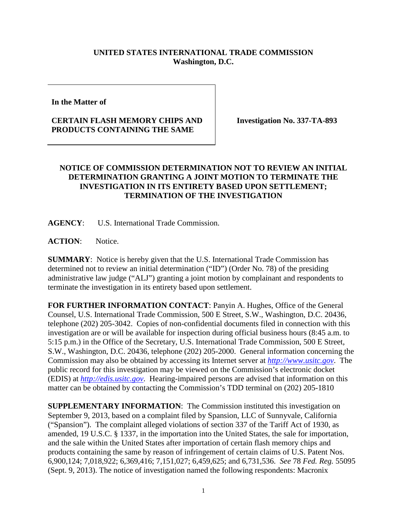## **UNITED STATES INTERNATIONAL TRADE COMMISSION Washington, D.C.**

**In the Matter of** 

## **CERTAIN FLASH MEMORY CHIPS AND PRODUCTS CONTAINING THE SAME**

**Investigation No. 337-TA-893**

## **NOTICE OF COMMISSION DETERMINATION NOT TO REVIEW AN INITIAL DETERMINATION GRANTING A JOINT MOTION TO TERMINATE THE INVESTIGATION IN ITS ENTIRETY BASED UPON SETTLEMENT; TERMINATION OF THE INVESTIGATION**

**AGENCY**: U.S. International Trade Commission.

ACTION: Notice.

**SUMMARY**: Notice is hereby given that the U.S. International Trade Commission has determined not to review an initial determination ("ID") (Order No. 78) of the presiding administrative law judge ("ALJ") granting a joint motion by complainant and respondents to terminate the investigation in its entirety based upon settlement.

**FOR FURTHER INFORMATION CONTACT**: Panyin A. Hughes, Office of the General Counsel, U.S. International Trade Commission, 500 E Street, S.W., Washington, D.C. 20436, telephone (202) 205-3042. Copies of non-confidential documents filed in connection with this investigation are or will be available for inspection during official business hours (8:45 a.m. to 5:15 p.m.) in the Office of the Secretary, U.S. International Trade Commission, 500 E Street, S.W., Washington, D.C. 20436, telephone (202) 205-2000. General information concerning the Commission may also be obtained by accessing its Internet server at *[http://www.usitc.gov](http://www.usitc.gov/)*. The public record for this investigation may be viewed on the Commission's electronic docket (EDIS) at *[http://edis.usitc.gov](http://edis.usitc.gov/)*. Hearing-impaired persons are advised that information on this matter can be obtained by contacting the Commission's TDD terminal on (202) 205-1810

**SUPPLEMENTARY INFORMATION:** The Commission instituted this investigation on September 9, 2013, based on a complaint filed by Spansion, LLC of Sunnyvale, California ("Spansion"). The complaint alleged violations of section 337 of the Tariff Act of 1930, as amended, 19 U.S.C. § 1337, in the importation into the United States, the sale for importation, and the sale within the United States after importation of certain flash memory chips and products containing the same by reason of infringement of certain claims of U.S. Patent Nos. 6,900,124; 7,018,922; 6,369,416; 7,151,027; 6,459,625; and 6,731,536. *See* 78 *Fed. Reg.* 55095 (Sept. 9, 2013). The notice of investigation named the following respondents: Macronix